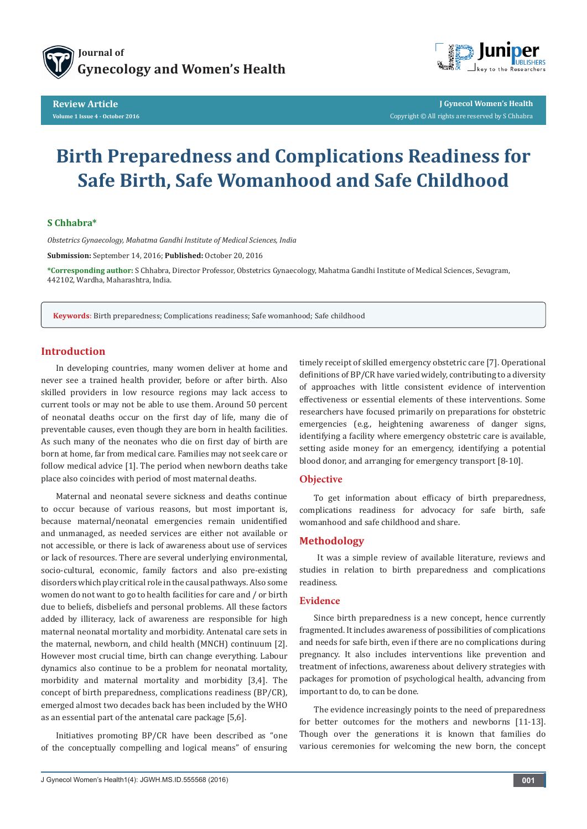



**J Gynecol Women's Health** Copyright © All rights are reserved by S Chhabra

# **Birth Preparedness and Complications Readiness for Safe Birth, Safe Womanhood and Safe Childhood**

## **S Chhabra\***

*Obstetrics Gynaecology, Mahatma Gandhi Institute of Medical Sciences, India* 

**Submission:** September 14, 2016; **Published:** October 20, 2016

**\*Corresponding author:** S Chhabra, Director Professor, Obstetrics Gynaecology, Mahatma Gandhi Institute of Medical Sciences, Sevagram, 442102, Wardha, Maharashtra, India.

**Keywords**: Birth preparedness; Complications readiness; Safe womanhood; Safe childhood

# **Introduction**

In developing countries, many women deliver at home and never see a trained health provider, before or after birth. Also skilled providers in low resource regions may lack access to current tools or may not be able to use them. Around 50 percent of neonatal deaths occur on the first day of life, many die of preventable causes, even though they are born in health facilities. As such many of the neonates who die on first day of birth are born at home, far from medical care. Families may not seek care or follow medical advice [1]. The period when newborn deaths take place also coincides with period of most maternal deaths.

Maternal and neonatal severe sickness and deaths continue to occur because of various reasons, but most important is, because maternal/neonatal emergencies remain unidentified and unmanaged, as needed services are either not available or not accessible, or there is lack of awareness about use of services or lack of resources. There are several underlying environmental, socio-cultural, economic, family factors and also pre-existing disorders which play critical role in the causal pathways. Also some women do not want to go to health facilities for care and / or birth due to beliefs, disbeliefs and personal problems. All these factors added by illiteracy, lack of awareness are responsible for high maternal neonatal mortality and morbidity. Antenatal care sets in the maternal, newborn, and child health (MNCH) continuum [2]. However most crucial time, birth can change everything. Labour dynamics also continue to be a problem for neonatal mortality, morbidity and maternal mortality and morbidity [3,4]. The concept of birth preparedness, complications readiness (BP/CR), emerged almost two decades back has been included by the WHO as an essential part of the antenatal care package [5,6].

Initiatives promoting BP/CR have been described as "one of the conceptually compelling and logical means" of ensuring timely receipt of skilled emergency obstetric care [7]. Operational definitions of BP/CR have varied widely, contributing to a diversity of approaches with little consistent evidence of intervention effectiveness or essential elements of these interventions. Some researchers have focused primarily on preparations for obstetric emergencies (e.g., heightening awareness of danger signs, identifying a facility where emergency obstetric care is available, setting aside money for an emergency, identifying a potential blood donor, and arranging for emergency transport [8-10].

#### **Objective**

To get information about efficacy of birth preparedness, complications readiness for advocacy for safe birth, safe womanhood and safe childhood and share.

## **Methodology**

 It was a simple review of available literature, reviews and studies in relation to birth preparedness and complications readiness.

#### **Evidence**

Since birth preparedness is a new concept, hence currently fragmented. It includes awareness of possibilities of complications and needs for safe birth, even if there are no complications during pregnancy. It also includes interventions like prevention and treatment of infections, awareness about delivery strategies with packages for promotion of psychological health, advancing from important to do, to can be done.

The evidence increasingly points to the need of preparedness for better outcomes for the mothers and newborns [11-13]. Though over the generations it is known that families do various ceremonies for welcoming the new born, the concept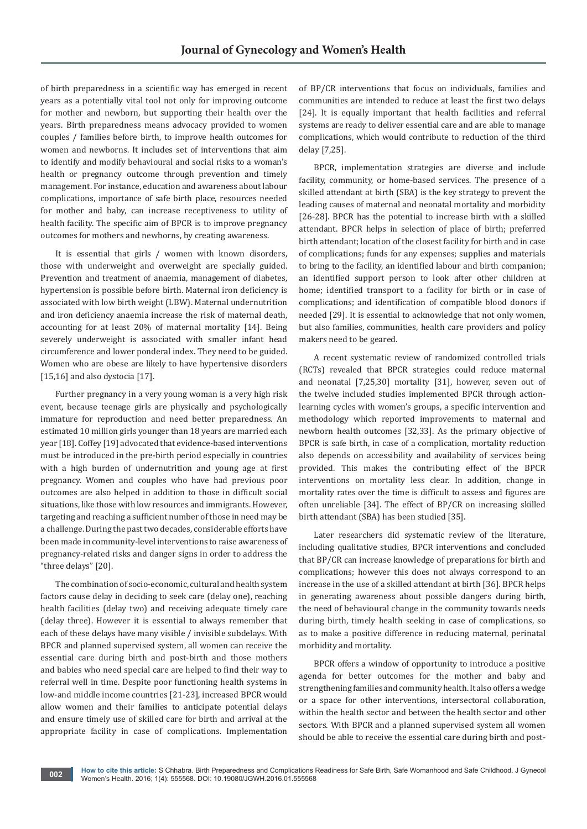of birth preparedness in a scientific way has emerged in recent years as a potentially vital tool not only for improving outcome for mother and newborn, but supporting their health over the years. Birth preparedness means advocacy provided to women couples / families before birth, to improve health outcomes for women and newborns. It includes set of interventions that aim to identify and modify behavioural and social risks to a woman's health or pregnancy outcome through prevention and timely management. For instance, education and awareness about labour complications, importance of safe birth place, resources needed for mother and baby, can increase receptiveness to utility of health facility. The specific aim of BPCR is to improve pregnancy outcomes for mothers and newborns, by creating awareness.

It is essential that girls / women with known disorders, those with underweight and overweight are specially guided. Prevention and treatment of anaemia, management of diabetes, hypertension is possible before birth. Maternal iron deficiency is associated with low birth weight (LBW). Maternal undernutrition and iron deficiency anaemia increase the risk of maternal death, accounting for at least 20% of maternal mortality [14]. Being severely underweight is associated with smaller infant head circumference and lower ponderal index. They need to be guided. Women who are obese are likely to have hypertensive disorders [15,16] and also dystocia [17].

Further pregnancy in a very young woman is a very high risk event, because teenage girls are physically and psychologically immature for reproduction and need better preparedness. An estimated 10 million girls younger than 18 years are married each year [18]. Coffey [19] advocated that evidence-based interventions must be introduced in the pre-birth period especially in countries with a high burden of undernutrition and young age at first pregnancy. Women and couples who have had previous poor outcomes are also helped in addition to those in difficult social situations, like those with low resources and immigrants. However, targeting and reaching a sufficient number of those in need may be a challenge. During the past two decades, considerable efforts have been made in community-level interventions to raise awareness of pregnancy-related risks and danger signs in order to address the "three delays" [20].

The combination of socio-economic, cultural and health system factors cause delay in deciding to seek care (delay one), reaching health facilities (delay two) and receiving adequate timely care (delay three). However it is essential to always remember that each of these delays have many visible / invisible subdelays. With BPCR and planned supervised system, all women can receive the essential care during birth and post-birth and those mothers and babies who need special care are helped to find their way to referral well in time. Despite poor functioning health systems in low-and middle income countries [21-23], increased BPCR would allow women and their families to anticipate potential delays and ensure timely use of skilled care for birth and arrival at the appropriate facility in case of complications. Implementation

of BP/CR interventions that focus on individuals, families and communities are intended to reduce at least the first two delays [24]. It is equally important that health facilities and referral systems are ready to deliver essential care and are able to manage complications, which would contribute to reduction of the third delay [7,25].

BPCR, implementation strategies are diverse and include facility, community, or home-based services. The presence of a skilled attendant at birth (SBA) is the key strategy to prevent the leading causes of maternal and neonatal mortality and morbidity [26-28]. BPCR has the potential to increase birth with a skilled attendant. BPCR helps in selection of place of birth; preferred birth attendant; location of the closest facility for birth and in case of complications; funds for any expenses; supplies and materials to bring to the facility, an identified labour and birth companion; an identified support person to look after other children at home; identified transport to a facility for birth or in case of complications; and identification of compatible blood donors if needed [29]. It is essential to acknowledge that not only women, but also families, communities, health care providers and policy makers need to be geared.

A recent systematic review of randomized controlled trials (RCTs) revealed that BPCR strategies could reduce maternal and neonatal [7,25,30] mortality [31], however, seven out of the twelve included studies implemented BPCR through actionlearning cycles with women's groups, a specific intervention and methodology which reported improvements to maternal and newborn health outcomes [32,33]. As the primary objective of BPCR is safe birth, in case of a complication, mortality reduction also depends on accessibility and availability of services being provided. This makes the contributing effect of the BPCR interventions on mortality less clear. In addition, change in mortality rates over the time is difficult to assess and figures are often unreliable [34]. The effect of BP/CR on increasing skilled birth attendant (SBA) has been studied [35].

Later researchers did systematic review of the literature, including qualitative studies, BPCR interventions and concluded that BP/CR can increase knowledge of preparations for birth and complications; however this does not always correspond to an increase in the use of a skilled attendant at birth [36]. BPCR helps in generating awareness about possible dangers during birth, the need of behavioural change in the community towards needs during birth, timely health seeking in case of complications, so as to make a positive difference in reducing maternal, perinatal morbidity and mortality.

BPCR offers a window of opportunity to introduce a positive agenda for better outcomes for the mother and baby and strengthening families and community health. It also offers a wedge or a space for other interventions, intersectoral collaboration, within the health sector and between the health sector and other sectors. With BPCR and a planned supervised system all women should be able to receive the essential care during birth and post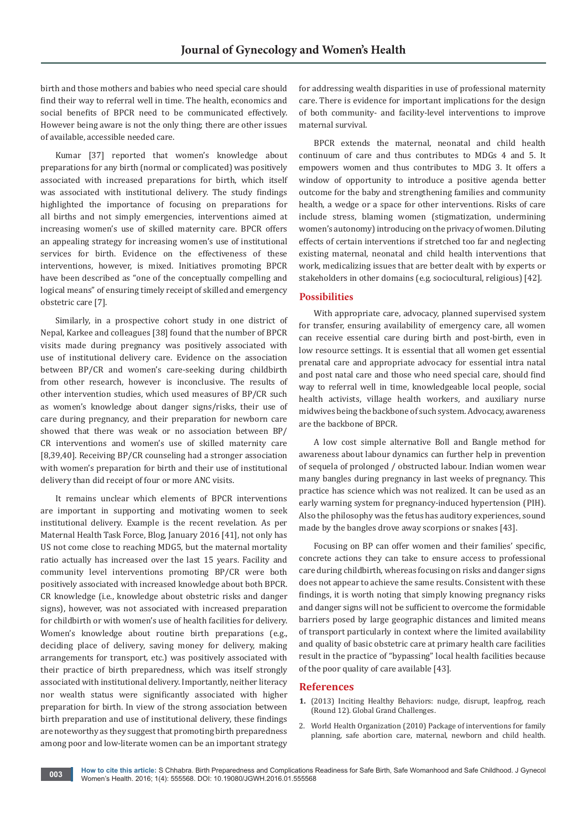birth and those mothers and babies who need special care should find their way to referral well in time. The health, economics and social benefits of BPCR need to be communicated effectively. However being aware is not the only thing; there are other issues of available, accessible needed care.

Kumar [37] reported that women's knowledge about preparations for any birth (normal or complicated) was positively associated with increased preparations for birth, which itself was associated with institutional delivery. The study findings highlighted the importance of focusing on preparations for all births and not simply emergencies, interventions aimed at increasing women's use of skilled maternity care. BPCR offers an appealing strategy for increasing women's use of institutional services for birth. Evidence on the effectiveness of these interventions, however, is mixed. Initiatives promoting BPCR have been described as "one of the conceptually compelling and logical means" of ensuring timely receipt of skilled and emergency obstetric care [7].

Similarly, in a prospective cohort study in one district of Nepal, Karkee and colleagues [38] found that the number of BPCR visits made during pregnancy was positively associated with use of institutional delivery care. Evidence on the association between BP/CR and women's care-seeking during childbirth from other research, however is inconclusive. The results of other intervention studies, which used measures of BP/CR such as women's knowledge about danger signs/risks, their use of care during pregnancy, and their preparation for newborn care showed that there was weak or no association between BP/ CR interventions and women's use of skilled maternity care [8,39,40]. Receiving BP/CR counseling had a stronger association with women's preparation for birth and their use of institutional delivery than did receipt of four or more ANC visits.

It remains unclear which elements of BPCR interventions are important in supporting and motivating women to seek institutional delivery. Example is the recent revelation. As per Maternal Health Task Force, Blog, January 2016 [41], not only has US not come close to reaching MDG5, but the maternal mortality ratio actually has increased over the last 15 years. Facility and community level interventions promoting BP/CR were both positively associated with increased knowledge about both BPCR. CR knowledge (i.e., knowledge about obstetric risks and danger signs), however, was not associated with increased preparation for childbirth or with women's use of health facilities for delivery. Women's knowledge about routine birth preparations (e.g., deciding place of delivery, saving money for delivery, making arrangements for transport, etc.) was positively associated with their practice of birth preparedness, which was itself strongly associated with institutional delivery. Importantly, neither literacy nor wealth status were significantly associated with higher preparation for birth. In view of the strong association between birth preparation and use of institutional delivery, these findings are noteworthy as they suggest that promoting birth preparedness among poor and low-literate women can be an important strategy

for addressing wealth disparities in use of professional maternity care. There is evidence for important implications for the design of both community- and facility-level interventions to improve maternal survival.

BPCR extends the maternal, neonatal and child health continuum of care and thus contributes to MDGs 4 and 5. It empowers women and thus contributes to MDG 3. It offers a window of opportunity to introduce a positive agenda better outcome for the baby and strengthening families and community health, a wedge or a space for other interventions. Risks of care include stress, blaming women (stigmatization, undermining women's autonomy) introducing on the privacy of women. Diluting effects of certain interventions if stretched too far and neglecting existing maternal, neonatal and child health interventions that work, medicalizing issues that are better dealt with by experts or stakeholders in other domains (e.g. sociocultural, religious) [42].

# **Possibilities**

With appropriate care, advocacy, planned supervised system for transfer, ensuring availability of emergency care, all women can receive essential care during birth and post-birth, even in low resource settings. It is essential that all women get essential prenatal care and appropriate advocacy for essential intra natal and post natal care and those who need special care, should find way to referral well in time, knowledgeable local people, social health activists, village health workers, and auxiliary nurse midwives being the backbone of such system. Advocacy, awareness are the backbone of BPCR.

A low cost simple alternative Boll and Bangle method for awareness about labour dynamics can further help in prevention of sequela of prolonged / obstructed labour. Indian women wear many bangles during pregnancy in last weeks of pregnancy. This practice has science which was not realized. It can be used as an early warning system for pregnancy-induced hypertension (PIH). Also the philosophy was the fetus has auditory experiences, sound made by the bangles drove away scorpions or snakes [43].

Focusing on BP can offer women and their families' specific, concrete actions they can take to ensure access to professional care during childbirth, whereas focusing on risks and danger signs does not appear to achieve the same results. Consistent with these findings, it is worth noting that simply knowing pregnancy risks and danger signs will not be sufficient to overcome the formidable barriers posed by large geographic distances and limited means of transport particularly in context where the limited availability and quality of basic obstetric care at primary health care facilities result in the practice of "bypassing" local health facilities because of the poor quality of care available [43].

#### **References**

- **1.** [\(2013\) Inciting Healthy Behaviors: nudge, disrupt, leapfrog, reach](http://gcgh.grandchallenges.org/challenge/inciting-healthy-behaviors-nudge-disrupt-leapfrog-reach-round-12)  [\(Round 12\). Global Grand Challenges.](http://gcgh.grandchallenges.org/challenge/inciting-healthy-behaviors-nudge-disrupt-leapfrog-reach-round-12)
- 2. [World Health Organization \(2010\) Package of interventions for family](http://apps.who.int/iris/bitstream/10665/70428/1/WHO_FCH_10.06_eng.pdf)  [planning, safe abortion care, maternal, newborn and child health.](http://apps.who.int/iris/bitstream/10665/70428/1/WHO_FCH_10.06_eng.pdf)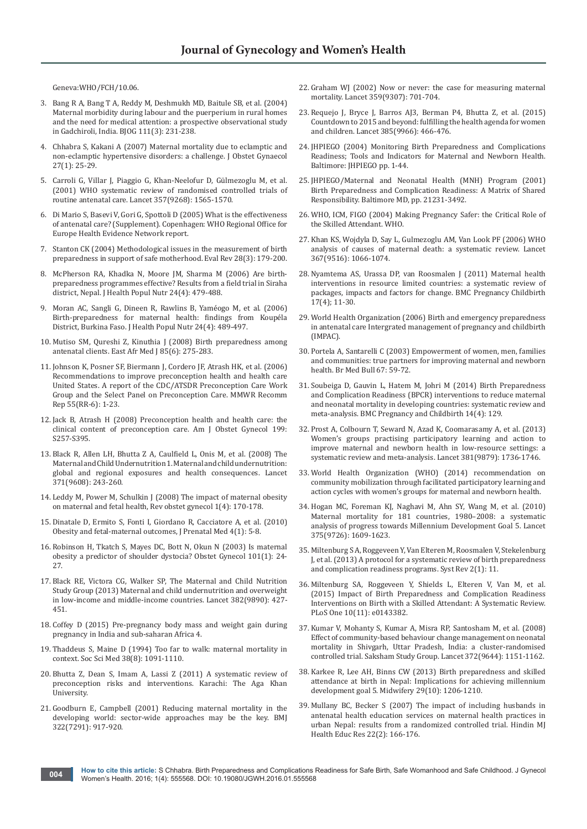[Geneva:WHO/FCH/10.06.](http://apps.who.int/iris/bitstream/10665/70428/1/WHO_FCH_10.06_eng.pdf)

- 3. [Bang R A, Bang T A, Reddy M, Deshmukh MD, Baitule SB, et al. \(2004\)](https://www.ncbi.nlm.nih.gov/pubmed/14961884)  [Maternal morbidity during labour and the puerperium in rural homes](https://www.ncbi.nlm.nih.gov/pubmed/14961884)  [and the need for medical attention: a prospective observational study](https://www.ncbi.nlm.nih.gov/pubmed/14961884)  [in Gadchiroli, India. BJOG 111\(3\): 231-238.](https://www.ncbi.nlm.nih.gov/pubmed/14961884)
- 4. [Chhabra S, Kakani A \(2007\) Maternal mortality due to eclamptic and](https://www.ncbi.nlm.nih.gov/pubmed/17365453)  [non-eclamptic hypertensive disorders: a challenge. J Obstet Gynaecol](https://www.ncbi.nlm.nih.gov/pubmed/17365453)  [27\(1\): 25-29.](https://www.ncbi.nlm.nih.gov/pubmed/17365453)
- 5. [Carroli G, Villar J, Piaggio G, Khan-Neelofur D, Gülmezoglu M,](https://www.ncbi.nlm.nih.gov/pubmed/11377643) et al. [\(2001\) WHO systematic review of randomised controlled trials of](https://www.ncbi.nlm.nih.gov/pubmed/11377643)  [routine antenatal care. Lancet 357\(9268\): 1565-1570.](https://www.ncbi.nlm.nih.gov/pubmed/11377643)
- 6. [Di Mario S, Basevi V, Gori G, Spottoli D \(2005\) What is the effectiveness](http://www.euro.who.int/__data/assets/pdf_file/0005/74660/E87997.pdf)  [of antenatal care? \(Supplement\). Copenhagen: WHO Regional Office for](http://www.euro.who.int/__data/assets/pdf_file/0005/74660/E87997.pdf)  [Europe Health Evidence Network report.](http://www.euro.who.int/__data/assets/pdf_file/0005/74660/E87997.pdf)
- 7. [Stanton CK \(2004\) Methodological issues in the measurement of birth](https://www.ncbi.nlm.nih.gov/pubmed/15130180)  [preparedness in support of safe motherhood. Eval Rev 28\(3\): 179-200](https://www.ncbi.nlm.nih.gov/pubmed/15130180).
- 8. [McPherson RA, Khadka N, Moore JM, Sharma M \(2006\) Are birth](https://www.ncbi.nlm.nih.gov/pubmed/17591345)[preparedness programmes effective? Results from a field trial in Siraha](https://www.ncbi.nlm.nih.gov/pubmed/17591345)  [district, Nepal. J Health Popul Nutr 24\(4\): 479-488.](https://www.ncbi.nlm.nih.gov/pubmed/17591345)
- 9. [Moran AC, Sangli G, Dineen R, Rawlins B, Yaméogo M, et al. \(2006\)](https://www.ncbi.nlm.nih.gov/pubmed/17591346)  [Birth-preparedness for maternal health: findings from Koupéla](https://www.ncbi.nlm.nih.gov/pubmed/17591346)  [District, Burkina Faso. J Health Popul Nutr 24\(4\): 489-497.](https://www.ncbi.nlm.nih.gov/pubmed/17591346)
- 10. [Mutiso SM, Qureshi Z, Kinuthia J \(2008\) Birth preparedness among](https://www.ncbi.nlm.nih.gov/pubmed/18817024)  [antenatal clients. East Afr Med J 85\(6\): 275-283.](https://www.ncbi.nlm.nih.gov/pubmed/18817024)
- 11. [Johnson K, Posner SF, Biermann J, Cordero JF, Atrash HK, et al. \(2006\)](https://www.ncbi.nlm.nih.gov/pubmed/16617292)  [Recommendations to improve preconception health and health care](https://www.ncbi.nlm.nih.gov/pubmed/16617292)  [United States. A report of the CDC/ATSDR Preconception Care Work](https://www.ncbi.nlm.nih.gov/pubmed/16617292)  [Group and the Select Panel on Preconception Care. MMWR Recomm](https://www.ncbi.nlm.nih.gov/pubmed/16617292)  [Rep 55\(RR-6\): 1-23.](https://www.ncbi.nlm.nih.gov/pubmed/16617292)
- 12. Jack B, Atrash H (2008) Preconception health and health care: the clinical content of preconception care. Am J Obstet Gynecol 199: S257-S395.
- 13. [Black R, Allen LH, Bhutta Z A, Caulfield L, Onis M, et al. \(2008\) The](https://www.ncbi.nlm.nih.gov/pubmed/18207566)  [Maternal and Child Undernutrition 1. Maternal and child undernutrition:](https://www.ncbi.nlm.nih.gov/pubmed/18207566)  [global and regional exposures and health consequences. Lancet](https://www.ncbi.nlm.nih.gov/pubmed/18207566)  [371\(9608\): 243-260](https://www.ncbi.nlm.nih.gov/pubmed/18207566).
- 14. [Leddy M, Power M, Schulkin J \(2008\) The impact of maternal obesity](https://www.ncbi.nlm.nih.gov/pubmed/19173021)  [on maternal and fetal health, Rev obstet gynecol 1\(4\): 170-178.](https://www.ncbi.nlm.nih.gov/pubmed/19173021)
- 15. [Dinatale D, Ermito S, Fonti I, Giordano R, Cacciatore A, et al. \(2010\)](http://europepmc.org/articles/pmc3263937)  [Obesity and fetal-maternal outcomes, J Prenatal Med 4\(1\): 5-8.](http://europepmc.org/articles/pmc3263937)
- 16. [Robinson H, Tkatch S, Mayes DC, Bott N, Okun N \(2003\) Is maternal](https://www.ncbi.nlm.nih.gov/pubmed/12517641)  [obesity a predictor of shoulder dystocia? Obstet Gynecol 101\(1\): 24-](https://www.ncbi.nlm.nih.gov/pubmed/12517641) [27.](https://www.ncbi.nlm.nih.gov/pubmed/12517641)
- 17. [Black RE, Victora CG, Walker SP, The Maternal and Child Nutrition](https://www.ncbi.nlm.nih.gov/pubmed/23746772)  [Study Group \(2013\) Maternal and child undernutrition and overweight](https://www.ncbi.nlm.nih.gov/pubmed/23746772)  [in low-income and middle-income countries. Lancet 382\(9890\): 427-](https://www.ncbi.nlm.nih.gov/pubmed/23746772) [451.](https://www.ncbi.nlm.nih.gov/pubmed/23746772)
- 18. [Coffey D \(2015\) Pre-pregnancy body mass and weight gain during](http://riceinstitute.org/research/pre-pregnancy-body-mass-and-weight-gain-during-pregnancy-in-india-sub-saharan-africa/)  [pregnancy in India and sub-saharan Africa 4.](http://riceinstitute.org/research/pre-pregnancy-body-mass-and-weight-gain-during-pregnancy-in-india-sub-saharan-africa/)
- 19. [Thaddeus S, Maine D \(1994\) Too far to walk: maternal mortality in](https://www.ncbi.nlm.nih.gov/pubmed/8042057)  [context. Soc Sci Med 38\(8\): 1091-1110.](https://www.ncbi.nlm.nih.gov/pubmed/8042057)
- 20. [Bhutta Z, Dean S, Imam A, Lassi Z \(2011\) A systematic review of](file:///D:/Journals/JGWH/New%20folder/JGWH-RW-16-565_W/A%20systematic%20review%20of%20preconception%20risks%20and%20interventions.%20Karachi:%20The%20Aga%20Khan%20University)  [preconception risks and interventions. Karachi: The Aga Khan](file:///D:/Journals/JGWH/New%20folder/JGWH-RW-16-565_W/A%20systematic%20review%20of%20preconception%20risks%20and%20interventions.%20Karachi:%20The%20Aga%20Khan%20University)  [University.](file:///D:/Journals/JGWH/New%20folder/JGWH-RW-16-565_W/A%20systematic%20review%20of%20preconception%20risks%20and%20interventions.%20Karachi:%20The%20Aga%20Khan%20University)
- 21. [Goodburn E, Campbell \(2001\) Reducing maternal mortality in the](https://www.ncbi.nlm.nih.gov/pmc/articles/PMC1120077/)  [developing world: sector-wide approaches may be the key. BMJ](https://www.ncbi.nlm.nih.gov/pmc/articles/PMC1120077/)  [322\(7291\): 917-920.](https://www.ncbi.nlm.nih.gov/pmc/articles/PMC1120077/)
- 22. [Graham WJ \(2002\) Now or never: the case for measuring maternal](https://www.ncbi.nlm.nih.gov/pubmed/11879885)  [mortality. Lancet 359\(9307\): 701-704.](https://www.ncbi.nlm.nih.gov/pubmed/11879885)
- 23. [Requejo J, Bryce J, Barros AJ3, Berman P4, Bhutta Z, et al. \(2015\)](https://www.ncbi.nlm.nih.gov/pubmed/24990815)  [Countdown to 2015 and beyond: fulfilling the health agenda for women](https://www.ncbi.nlm.nih.gov/pubmed/24990815)  [and children. Lancet 385\(9966\): 466-476.](https://www.ncbi.nlm.nih.gov/pubmed/24990815)
- 24. JHPIEGO (2004) Monitoring Birth Preparedness and Complications Readiness; Tools and Indicators for Maternal and Newborn Health. Baltimore: JHPIEGO pp. 1-44.
- 25. JHPIEGO/Maternal and Neonatal Health (MNH) Program (2001) Birth Preparedness and Complication Readiness: A Matrix of Shared Responsibility. Baltimore MD, pp. 21231-3492.
- 26. [WHO, ICM, FIGO \(2004\) Making Pregnancy Safer: the Critical Role of](http://apps.who.int/iris/bitstream/10665/42955/1/9241591692.pdf)  [the Skilled Attendant. WHO.](http://apps.who.int/iris/bitstream/10665/42955/1/9241591692.pdf)
- 27. [Khan KS, Wojdyla D, Say L, Gulmezoglu AM, Van Look PF \(2006\) WHO](https://www.ncbi.nlm.nih.gov/pubmed/16581405)  [analysis of causes of maternal death: a systematic review. Lancet](https://www.ncbi.nlm.nih.gov/pubmed/16581405)  [367\(9516\): 1066-1074.](https://www.ncbi.nlm.nih.gov/pubmed/16581405)
- 28. [Nyamtema AS, Urassa DP, van Roosmalen J \(2011\) Maternal health](https://www.ncbi.nlm.nih.gov/pubmed/21496315)  [interventions in resource limited countries: a systematic review of](https://www.ncbi.nlm.nih.gov/pubmed/21496315)  [packages, impacts and factors for change. BMC Pregnancy Childbirth](https://www.ncbi.nlm.nih.gov/pubmed/21496315)  [17\(4\); 11-30.](https://www.ncbi.nlm.nih.gov/pubmed/21496315)
- 29. [World Health Organization \(2006\) Birth and emergency preparedness](http://www.who.int/reproductivehealth/publications/maternal_perinatal_health/emergency_preparedness_antenatal_care.pdf)  [in antenatal care Intergrated management of pregnancy and childbirth](http://www.who.int/reproductivehealth/publications/maternal_perinatal_health/emergency_preparedness_antenatal_care.pdf)  [\(IMPAC\).](http://www.who.int/reproductivehealth/publications/maternal_perinatal_health/emergency_preparedness_antenatal_care.pdf)
- 30. [Portela A, Santarelli C \(2003\) Empowerment of women, men, families](https://www.ncbi.nlm.nih.gov/pubmed/14711754)  [and communities: true partners for improving maternal and newborn](https://www.ncbi.nlm.nih.gov/pubmed/14711754)  [health. Br Med Bull 67: 59-72.](https://www.ncbi.nlm.nih.gov/pubmed/14711754)
- 31. [Soubeiga D, Gauvin L, Hatem M, Johri M \(2014\) Birth Preparedness](http://bmcpregnancychildbirth.biomedcentral.com/articles/10.1186/1471-2393-14-129)  [and Complication Readiness \(BPCR\) interventions to reduce maternal](http://bmcpregnancychildbirth.biomedcentral.com/articles/10.1186/1471-2393-14-129)  [and neonatal mortality in developing countries: systematic review and](http://bmcpregnancychildbirth.biomedcentral.com/articles/10.1186/1471-2393-14-129)  [meta-analysis. BMC Pregnancy and Childbirth 14\(4\): 129.](http://bmcpregnancychildbirth.biomedcentral.com/articles/10.1186/1471-2393-14-129)
- 32. [Prost A, Colbourn T, Seward N, Azad K, Coomarasamy A, et al. \(2013\)](http://www.thelancet.com/journals/lancet/article/PIIS0140-6736(13)60685-6/abstract)  [Women's groups practising participatory learning and action to](http://www.thelancet.com/journals/lancet/article/PIIS0140-6736(13)60685-6/abstract)  [improve maternal and newborn health in low-resource settings: a](http://www.thelancet.com/journals/lancet/article/PIIS0140-6736(13)60685-6/abstract)  [systematic review and meta-analysis. Lancet 381\(9879\): 1736-1746.](http://www.thelancet.com/journals/lancet/article/PIIS0140-6736(13)60685-6/abstract)
- 33. [World Health Organization \(WHO\) \(2014\) recommendation on](http://www.who.int/maternal_child_adolescent/documents/community-mobilization-maternal-newborn/en/)  [community mobilization through facilitated participatory learning and](http://www.who.int/maternal_child_adolescent/documents/community-mobilization-maternal-newborn/en/)  [action cycles with women's groups for maternal and newborn health.](http://www.who.int/maternal_child_adolescent/documents/community-mobilization-maternal-newborn/en/)
- 34. [Hogan MC, Foreman KJ, Naghavi M, Ahn SY, Wang](http://www.thelancet.com/article/S0140-6736(10)60518-1/abstract) M, et al. (2010) [Maternal mortality for 181 countries, 1980–2008: a systematic](http://www.thelancet.com/article/S0140-6736(10)60518-1/abstract)  [analysis of progress towards Millennium Development Goal 5. Lancet](http://www.thelancet.com/article/S0140-6736(10)60518-1/abstract)  [375\(9726\): 1609-1623.](http://www.thelancet.com/article/S0140-6736(10)60518-1/abstract)
- 35. [Miltenburg S A, Roggeveen Y, Van Elteren M, Roosmalen V, Stekelenburg](https://www.ncbi.nlm.nih.gov/pmc/articles/PMC3599634/)  [J, et al. \(2013\) A protocol for a systematic review of birth preparedness](https://www.ncbi.nlm.nih.gov/pmc/articles/PMC3599634/)  [and complication readiness programs. Syst Rev 2\(1\): 11.](https://www.ncbi.nlm.nih.gov/pmc/articles/PMC3599634/)
- 36. [Miltenburg SA, Roggeveen Y, Shields L, Elteren V, Van M, et al.](https://www.ncbi.nlm.nih.gov/pmc/articles/PMC4658103/)  [\(2015\) Impact of Birth Preparedness and Complication Readiness](https://www.ncbi.nlm.nih.gov/pmc/articles/PMC4658103/)  [Interventions on Birth with a Skilled Attendant: A Systematic Review.](https://www.ncbi.nlm.nih.gov/pmc/articles/PMC4658103/)  [PLoS One 10\(11\): e0143382.](https://www.ncbi.nlm.nih.gov/pmc/articles/PMC4658103/)
- 37. [Kumar V, Mohanty S, Kumar A, Misra RP, Santosham M, et al. \(2008\)](https://www.ncbi.nlm.nih.gov/pubmed/18926277)  [Effect of community-based behaviour change management on neonatal](https://www.ncbi.nlm.nih.gov/pubmed/18926277)  [mortality in Shivgarh, Uttar Pradesh, India: a cluster-randomised](https://www.ncbi.nlm.nih.gov/pubmed/18926277)  [controlled trial. Saksham Study Group. Lancet 372\(9644\): 1151-1162.](https://www.ncbi.nlm.nih.gov/pubmed/18926277)
- 38. [Karkee R, Lee AH, Binns CW \(2013\) Birth preparedness and skilled](https://www.ncbi.nlm.nih.gov/pubmed/23751594)  [attendance at birth in Nepal: Implications for achieving millennium](https://www.ncbi.nlm.nih.gov/pubmed/23751594)  development goal 5. [Midwifery 29\(10\): 1206-1210.](https://www.ncbi.nlm.nih.gov/pubmed/23751594)
- 39. [Mullany BC, Becker S \(2007\) The impact of including husbands in](https://www.ncbi.nlm.nih.gov/pubmed/16855015)  [antenatal health education services on maternal health practices in](https://www.ncbi.nlm.nih.gov/pubmed/16855015)  [urban Nepal: results from a randomized controlled trial. Hindin MJ](https://www.ncbi.nlm.nih.gov/pubmed/16855015)  [Health Educ Res 22\(2\): 166-176.](https://www.ncbi.nlm.nih.gov/pubmed/16855015)